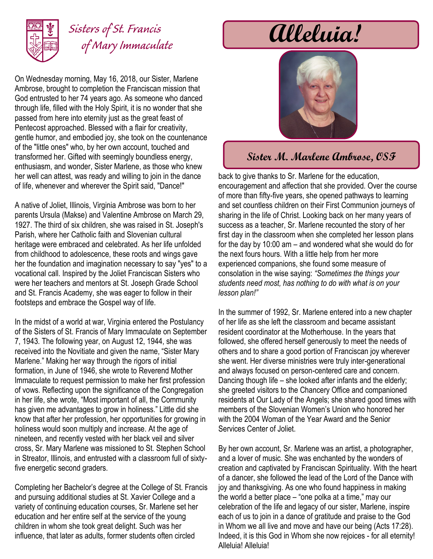

## *Sisters of St. Francis of Mary Immaculate*

On Wednesday morning, May 16, 2018, our Sister, Marlene Ambrose, brought to completion the Franciscan mission that God entrusted to her 74 years ago. As someone who danced through life, filled with the Holy Spirit, it is no wonder that she passed from here into eternity just as the great feast of Pentecost approached. Blessed with a flair for creativity, gentle humor, and embodied joy, she took on the countenance of the "little ones" who, by her own account, touched and transformed her. Gifted with seemingly boundless energy, enthusiasm, and wonder, Sister Marlene, as those who knew her well can attest, was ready and willing to join in the dance of life, whenever and wherever the Spirit said, "Dance!"

A native of Joliet, Illinois, Virginia Ambrose was born to her parents Ursula (Makse) and Valentine Ambrose on March 29, 1927. The third of six children, she was raised in St. Joseph's Parish, where her Catholic faith and Slovenian cultural heritage were embraced and celebrated. As her life unfolded from childhood to adolescence, these roots and wings gave her the foundation and imagination necessary to say "yes" to a vocational call. Inspired by the Joliet Franciscan Sisters who were her teachers and mentors at St. Joseph Grade School and St. Francis Academy, she was eager to follow in their footsteps and embrace the Gospel way of life.

In the midst of a world at war, Virginia entered the Postulancy of the Sisters of St. Francis of Mary Immaculate on September 7, 1943. The following year, on August 12, 1944, she was received into the Novitiate and given the name, "Sister Mary Marlene." Making her way through the rigors of initial formation, in June of 1946, she wrote to Reverend Mother Immaculate to request permission to make her first profession of vows. Reflecting upon the significance of the Congregation in her life, she wrote, "Most important of all, the Community has given me advantages to grow in holiness." Little did she know that after her profession, her opportunities for growing in holiness would soon multiply and increase. At the age of nineteen, and recently vested with her black veil and silver cross, Sr. Mary Marlene was missioned to St. Stephen School in Streator, Illinois, and entrusted with a classroom full of sixtyfive energetic second graders.

Completing her Bachelor's degree at the College of St. Francis and pursuing additional studies at St. Xavier College and a variety of continuing education courses, Sr. Marlene set her education and her entire self at the service of the young children in whom she took great delight. Such was her influence, that later as adults, former students often circled

# **Alleluia!**



### **Sister M. Marlene Ambrose, OSF**

back to give thanks to Sr. Marlene for the education, encouragement and affection that she provided. Over the course of more than fifty-five years, she opened pathways to learning and set countless children on their First Communion journeys of sharing in the life of Christ. Looking back on her many years of success as a teacher, Sr. Marlene recounted the story of her first day in the classroom when she completed her lesson plans for the day by 10:00 am – and wondered what she would do for the next fours hours. With a little help from her more experienced companions, she found some measure of consolation in the wise saying: *"Sometimes the things your students need most, has nothing to do with what is on your lesson plan!"*

In the summer of 1992, Sr. Marlene entered into a new chapter of her life as she left the classroom and became assistant resident coordinator at the Motherhouse. In the years that followed, she offered herself generously to meet the needs of others and to share a good portion of Franciscan joy wherever she went. Her diverse ministries were truly inter-generational and always focused on person-centered care and concern. Dancing though life – she looked after infants and the elderly; she greeted visitors to the Chancery Office and companioned residents at Our Lady of the Angels; she shared good times with members of the Slovenian Women's Union who honored her with the 2004 Woman of the Year Award and the Senior Services Center of Joliet.

By her own account, Sr. Marlene was an artist, a photographer, and a lover of music. She was enchanted by the wonders of creation and captivated by Franciscan Spirituality. With the heart of a dancer, she followed the lead of the Lord of the Dance with joy and thanksgiving. As one who found happiness in making the world a better place – "one polka at a time," may our celebration of the life and legacy of our sister, Marlene, inspire each of us to join in a dance of gratitude and praise to the God in Whom we all live and move and have our being (Acts 17:28). Indeed, it is this God in Whom she now rejoices - for all eternity! Alleluia! Alleluia!